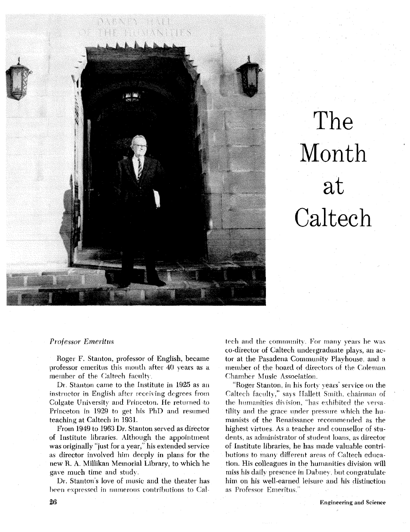

# The Month at **Caltech**

#### *Professor Emei* itus

Roger F. Stanton, professor of English, became professor emeritus this mouth after 40 years as a member of the Caltech faculty.

Dr. Stanton came to the Institute in 1925 as an instructor in English after receiving degrees from Colgate University and Princeton. He returned to Princeton in 1929 to get his PhD and resumed teaching at Caltech in 1931.

From 1949 to 1963 Dr. Stanton served as director of Institute libraries. Although the appointment was originally "just for a year,' his extended service as director involved him deeply in plans for the new *H.* A. Millikan Memorial Library, to which he **gave** much time and stnd?.

Dr. Stanton's love of music and the theater has been expressed in numerous contributions to Caltech and the community. For many years he was co-director of Caltech undergraduate plays, an actor at the Pasadena Community Playhouse, and **n**  member of the hoard of directors of the Coleman **Chamber Music Association.** 

"Roger Stanton, in his forty years' service on the Caltech faculty," says Hallett Smith, chairman of the humanities division, "has exhibited the versatility and the grace under pressure which the humanists of the Renaissance recommended as the highest virtues. As a teacher and counsellor of students. as administrator of student loans, as director of Institute libraries, he has made valuable contributions to many different areas of Caltech education. His colleagues in the humanities division will miss his daily presence in Dabney, but congratulate him on his well-earned leisuie and his distinction as Professor Emeritus."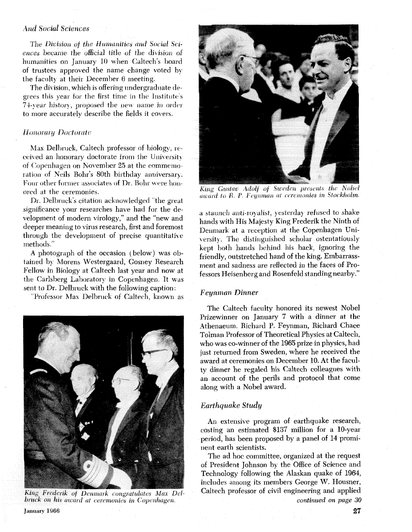# And Social Sciences

The *Division* of the *Humanities* and Social Sciences became the official title of the division of humanities on January 10 when Caltech's board of trustees approved the name change voted by the facult) at their December 6 meeting.

The division, which is offering undergraduate degrees this year for the first time in the Institute's 74-year history, proposed the new name in order to more accurately describe the fields it covers.

#### **Honorary Doctorate**

Max Delbruck, Caltech professor of biology, received an honorary doctorate from the University of Copenhagen on November 25 at the commemoration of Neils Bohr's 80th birthday anniversary. Four other former associates of Dr. Bohr were honored at the ceremonies.

Dr. Delbruck's citation acknowledged "the great significance your researches have had for the development of modem virology," and the "new and deeper meaning to virus research, first and foremost through the development of precise quantitative methods."

A photograph ot the occasion (below) was obtained by Morens Westergaard, Gosney Research Fellow in Biology at Caltech last year and now at the Carlsberg Laboratory in Copenhagen. It was sent to Dr. Delbruck with the following caption:

'Professor Max Delbrnck of Caltech, known as



King Frederik of Denmark congratulates Max Delbruck on his award at ceremonies in Copenhagen. **January 1966 27** 



King Gustav Adolf of Sweden presents the Nobel award to R. P. Feynman at ceremonies in Stockholm.

a staunch anti-royalist, yesterday refused to shake hands with His Majesty King Frederik the Ninth of Denmark at a reception at the Copenhagen Uni versity. The distinguished scholar ostentatiously kept both hands behind his back, ignoring the friendly, outstretched hand of the king. Embarrassment and sadness are reflected in the faces of Professors Heisenberg and Rosenfeld standing nearby ."

#### Feynman Dinner

The Caltech faculty honored its newest Nobel Prizewinner on January **7** with a dinner at the Athenaeum. Richard P. Feynman, Richard Chace Tolman Professor of Theoretical Physics at Caltech, who was co-winner of the 1965 prize in physics, had just returned from Sweden, where he received the award at ceremonies on December 10. **At** the faculty dinner he regaled his Caltech colleagues with an account of the perils and protocol that come along with a Nobel award.

## *Earthquake Study*

An extensive program of earthquake research, costing an estimated **\$137** million for a 10-year period, has been proposed by a panel of **14** prominent earth scientists.

The ad hoc committee, organized at the request of President Johnson by the Office of Science and Technology following the Alaskan quake of 1964, includes among its members George W. Housner, Caltech professor of civil engineering and applied *continued on page 30*